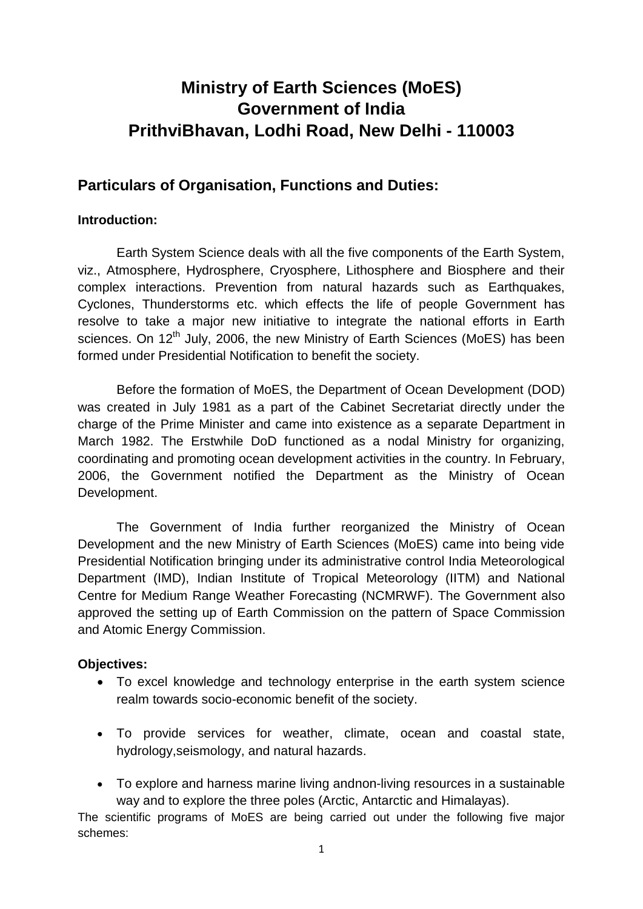# **Ministry of Earth Sciences (MoES) Government of India PrithviBhavan, Lodhi Road, New Delhi - 110003**

# **Particulars of Organisation, Functions and Duties:**

#### **Introduction:**

Earth System Science deals with all the five components of the Earth System, viz., Atmosphere, Hydrosphere, Cryosphere, Lithosphere and Biosphere and their complex interactions. Prevention from natural hazards such as Earthquakes, Cyclones, Thunderstorms etc. which effects the life of people Government has resolve to take a major new initiative to integrate the national efforts in Earth sciences. On  $12<sup>th</sup>$  July, 2006, the new Ministry of Earth Sciences (MoES) has been formed under Presidential Notification to benefit the society.

Before the formation of MoES, the Department of Ocean Development (DOD) was created in July 1981 as a part of the Cabinet Secretariat directly under the charge of the Prime Minister and came into existence as a separate Department in March 1982. The Erstwhile DoD functioned as a nodal Ministry for organizing, coordinating and promoting ocean development activities in the country. In February, 2006, the Government notified the Department as the Ministry of Ocean Development.

The Government of India further reorganized the Ministry of Ocean Development and the new Ministry of Earth Sciences (MoES) came into being vide Presidential Notification bringing under its administrative control India Meteorological Department (IMD), Indian Institute of Tropical Meteorology (IITM) and National Centre for Medium Range Weather Forecasting (NCMRWF). The Government also approved the setting up of Earth Commission on the pattern of Space Commission and Atomic Energy Commission.

# **Objectives:**

- To excel knowledge and technology enterprise in the earth system science realm towards socio-economic benefit of the society.
- To provide services for weather, climate, ocean and coastal state, hydrology,seismology, and natural hazards.
- To explore and harness marine living andnon-living resources in a sustainable way and to explore the three poles (Arctic, Antarctic and Himalayas).

The scientific programs of MoES are being carried out under the following five major schemes: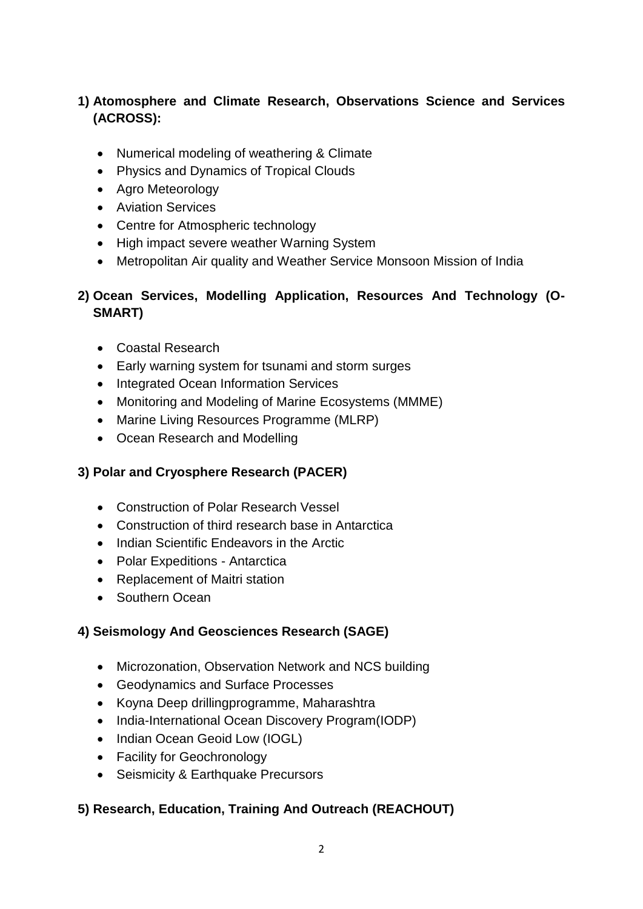# **1) Atomosphere and Climate Research, Observations Science and Services (ACROSS):**

- Numerical modeling of weathering & Climate
- Physics and Dynamics of Tropical Clouds
- Agro Meteorology
- **•** Aviation Services
- Centre for Atmospheric technology
- High impact severe weather Warning System
- Metropolitan Air quality and Weather Service Monsoon Mission of India

# **2) Ocean Services, Modelling Application, Resources And Technology (O-SMART)**

- Coastal Research
- Early warning system for tsunami and storm surges
- Integrated Ocean Information Services
- Monitoring and Modeling of Marine Ecosystems (MMME)
- Marine Living Resources Programme (MLRP)
- Ocean Research and Modelling

# **3) Polar and Cryosphere Research (PACER)**

- Construction of Polar Research Vessel
- Construction of third research base in Antarctica
- Indian Scientific Endeavors in the Arctic
- Polar Expeditions Antarctica
- Replacement of Maitri station
- Southern Ocean

# **4) Seismology And Geosciences Research (SAGE)**

- Microzonation, Observation Network and NCS building
- Geodynamics and Surface Processes
- Koyna Deep drillingprogramme, Maharashtra
- India-International Ocean Discovery Program(IODP)
- Indian Ocean Geoid Low (IOGL)
- Facility for Geochronology
- Seismicity & Earthquake Precursors

# **5) Research, Education, Training And Outreach (REACHOUT)**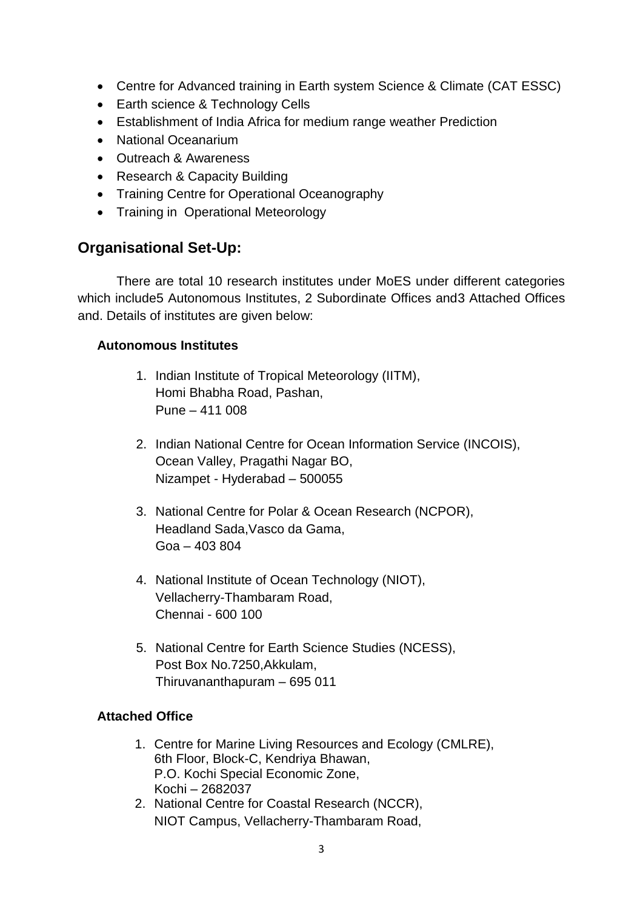- Centre for Advanced training in Earth system Science & Climate (CAT ESSC)
- Earth science & Technology Cells
- Establishment of India Africa for medium range weather Prediction
- National Oceanarium
- Outreach & Awareness
- Research & Capacity Building
- Training Centre for Operational Oceanography
- Training in Operational Meteorology

# **Organisational Set-Up:**

There are total 10 research institutes under MoES under different categories which include5 Autonomous Institutes, 2 Subordinate Offices and3 Attached Offices and. Details of institutes are given below:

#### **Autonomous Institutes**

- 1. Indian Institute of Tropical Meteorology (IITM), Homi Bhabha Road, Pashan, Pune – 411 008
- 2. Indian National Centre for Ocean Information Service (INCOIS), Ocean Valley, Pragathi Nagar BO, Nizampet - Hyderabad – 500055
- 3. National Centre for Polar & Ocean Research (NCPOR), Headland Sada,Vasco da Gama, Goa – 403 804
- 4. National Institute of Ocean Technology (NIOT), Vellacherry-Thambaram Road, Chennai - 600 100
- 5. National Centre for Earth Science Studies (NCESS), Post Box No.7250,Akkulam, Thiruvananthapuram – 695 011

# **Attached Office**

- 1. Centre for Marine Living Resources and Ecology (CMLRE), 6th Floor, Block-C, Kendriya Bhawan, P.O. Kochi Special Economic Zone, Kochi – 2682037
- 2. National Centre for Coastal Research (NCCR), NIOT Campus, Vellacherry-Thambaram Road,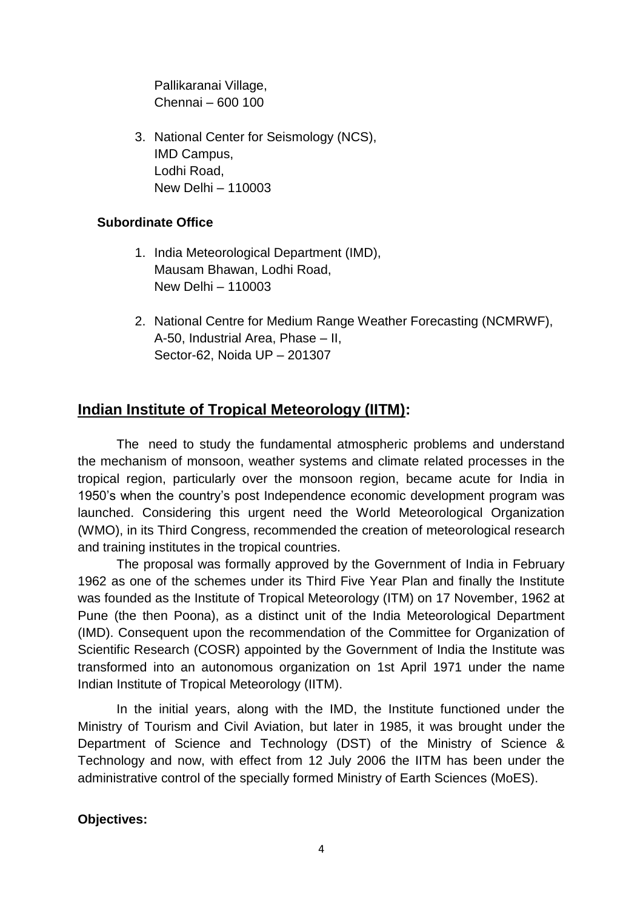Pallikaranai Village, Chennai – 600 100

3. National Center for Seismology (NCS), IMD Campus, Lodhi Road, New Delhi – 110003

#### **Subordinate Office**

- 1. India Meteorological Department (IMD), Mausam Bhawan, Lodhi Road, New Delhi – 110003
- 2. National Centre for Medium Range Weather Forecasting (NCMRWF), A-50, Industrial Area, Phase – II, Sector-62, Noida UP – 201307

# **Indian Institute of Tropical Meteorology (IITM):**

The need to study the fundamental atmospheric problems and understand the mechanism of monsoon, weather systems and climate related processes in the tropical region, particularly over the monsoon region, became acute for India in 1950"s when the country"s post Independence economic development program was launched. Considering this urgent need the World Meteorological Organization (WMO), in its Third Congress, recommended the creation of meteorological research and training institutes in the tropical countries.

The proposal was formally approved by the Government of India in February 1962 as one of the schemes under its Third Five Year Plan and finally the Institute was founded as the Institute of Tropical Meteorology (ITM) on 17 November, 1962 at Pune (the then Poona), as a distinct unit of the India Meteorological Department (IMD). Consequent upon the recommendation of the Committee for Organization of Scientific Research (COSR) appointed by the Government of India the Institute was transformed into an autonomous organization on 1st April 1971 under the name Indian Institute of Tropical Meteorology (IITM).

In the initial years, along with the IMD, the Institute functioned under the Ministry of Tourism and Civil Aviation, but later in 1985, it was brought under the Department of Science and Technology (DST) of the Ministry of Science & Technology and now, with effect from 12 July 2006 the IITM has been under the administrative control of the specially formed [Ministry of Earth Sciences](http://www.moes.gov.in/) (MoES).

#### **Objectives:**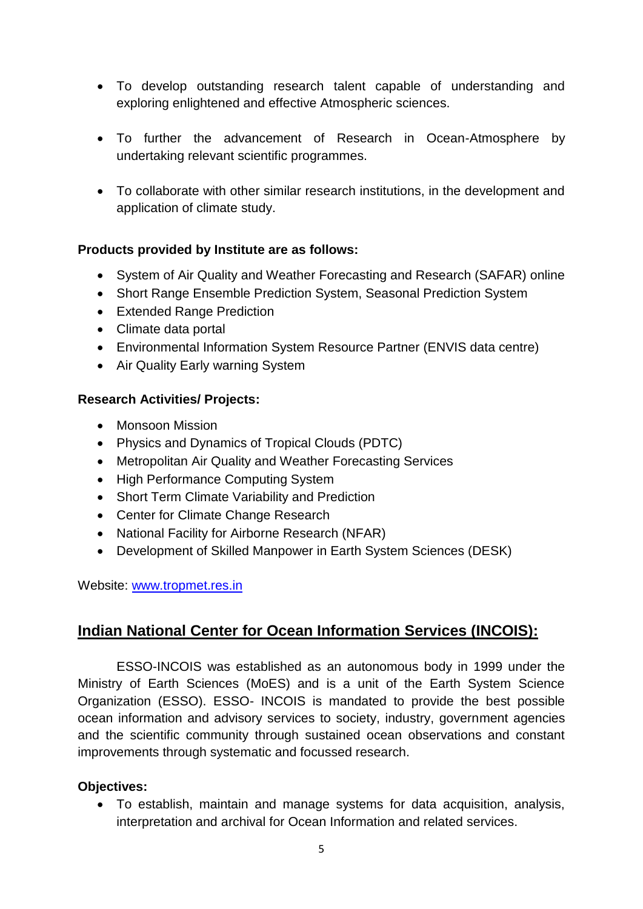- To develop outstanding research talent capable of understanding and exploring enlightened and effective Atmospheric sciences.
- To further the advancement of Research in Ocean-Atmosphere by undertaking relevant scientific programmes.
- To collaborate with other similar research institutions, in the development and application of climate study.

# **Products provided by Institute are as follows:**

- System of Air Quality and Weather Forecasting and Research (SAFAR) online
- Short Range Ensemble Prediction System, Seasonal Prediction System
- Extended Range Prediction
- Climate data portal
- Environmental Information System Resource Partner (ENVIS data centre)
- Air Quality Early warning System

# **Research Activities/ Projects:**

- Monsoon Mission
- Physics and Dynamics of Tropical Clouds (PDTC)
- Metropolitan Air Quality and Weather Forecasting Services
- High Performance Computing System
- Short Term Climate Variability and Prediction
- Center for Climate Change Research
- National Facility for Airborne Research (NFAR)
- Development of Skilled Manpower in Earth System Sciences (DESK)

Website: [www.tropmet.res.in](http://www.tropmet.res.in/)

# **Indian National Center for Ocean Information Services (INCOIS):**

ESSO-INCOIS was established as an autonomous body in 1999 under the Ministry of Earth Sciences (MoES) and is a unit of the Earth System Science Organization (ESSO). ESSO- INCOIS is mandated to provide the best possible ocean information and advisory services to society, industry, government agencies and the scientific community through sustained ocean observations and constant improvements through systematic and focussed research.

# **Objectives:**

 To establish, maintain and manage systems for data acquisition, analysis, interpretation and archival for Ocean Information and related services.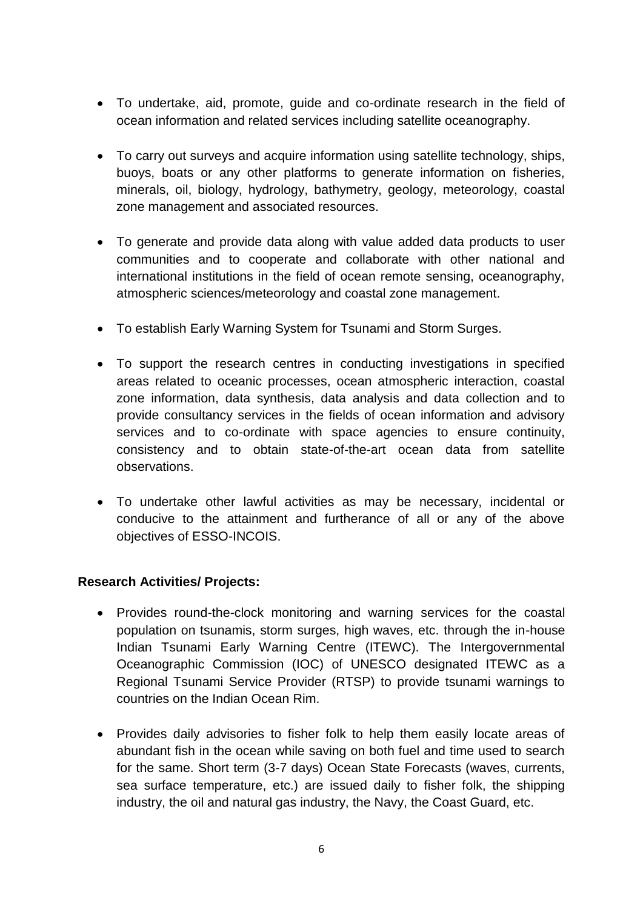- To undertake, aid, promote, guide and co-ordinate research in the field of ocean information and related services including satellite oceanography.
- To carry out surveys and acquire information using satellite technology, ships, buoys, boats or any other platforms to generate information on fisheries, minerals, oil, biology, hydrology, bathymetry, geology, meteorology, coastal zone management and associated resources.
- To generate and provide data along with value added data products to user communities and to cooperate and collaborate with other national and international institutions in the field of ocean remote sensing, oceanography, atmospheric sciences/meteorology and coastal zone management.
- To establish Early Warning System for Tsunami and Storm Surges.
- To support the research centres in conducting investigations in specified areas related to oceanic processes, ocean atmospheric interaction, coastal zone information, data synthesis, data analysis and data collection and to provide consultancy services in the fields of ocean information and advisory services and to co-ordinate with space agencies to ensure continuity, consistency and to obtain state-of-the-art ocean data from satellite observations.
- To undertake other lawful activities as may be necessary, incidental or conducive to the attainment and furtherance of all or any of the above objectives of ESSO-INCOIS.

# **Research Activities/ Projects:**

- Provides round-the-clock monitoring and warning services for the coastal population on tsunamis, storm surges, high waves, etc. through the in-house Indian Tsunami Early Warning Centre (ITEWC). The Intergovernmental Oceanographic Commission (IOC) of UNESCO designated ITEWC as a Regional Tsunami Service Provider (RTSP) to provide tsunami warnings to countries on the Indian Ocean Rim.
- Provides daily advisories to fisher folk to help them easily locate areas of abundant fish in the ocean while saving on both fuel and time used to search for the same. Short term (3-7 days) Ocean State Forecasts (waves, currents, sea surface temperature, etc.) are issued daily to fisher folk, the shipping industry, the oil and natural gas industry, the Navy, the Coast Guard, etc.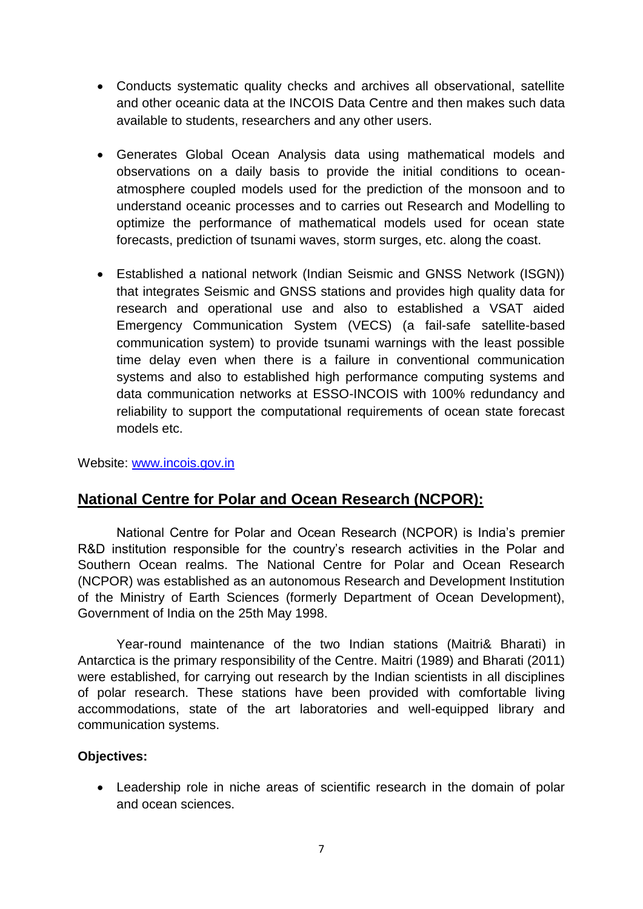- Conducts systematic quality checks and archives all observational, satellite and other oceanic data at the INCOIS Data Centre and then makes such data available to students, researchers and any other users.
- Generates Global Ocean Analysis data using mathematical models and observations on a daily basis to provide the initial conditions to oceanatmosphere coupled models used for the prediction of the monsoon and to understand oceanic processes and to carries out Research and Modelling to optimize the performance of mathematical models used for ocean state forecasts, prediction of tsunami waves, storm surges, etc. along the coast.
- Established a national network (Indian Seismic and GNSS Network (ISGN)) that integrates Seismic and GNSS stations and provides high quality data for research and operational use and also to established a VSAT aided Emergency Communication System (VECS) (a fail-safe satellite-based communication system) to provide tsunami warnings with the least possible time delay even when there is a failure in conventional communication systems and also to established high performance computing systems and data communication networks at ESSO-INCOIS with 100% redundancy and reliability to support the computational requirements of ocean state forecast models etc.

Website: [www.incois.gov.in](http://www.incois.gov.in/)

# **National Centre for Polar and Ocean Research (NCPOR):**

National Centre for Polar and Ocean Research (NCPOR) is India"s premier R&D institution responsible for the country's research activities in the Polar and Southern Ocean realms. The National Centre for Polar and Ocean Research (NCPOR) was established as an autonomous Research and Development Institution of the Ministry of Earth Sciences (formerly Department of Ocean Development), Government of India on the 25th May 1998.

Year-round maintenance of the two Indian stations (Maitri& Bharati) in Antarctica is the primary responsibility of the Centre. Maitri (1989) and Bharati (2011) were established, for carrying out research by the Indian scientists in all disciplines of polar research. These stations have been provided with comfortable living accommodations, state of the art laboratories and well-equipped library and communication systems.

#### **Objectives:**

 Leadership role in niche areas of scientific research in the domain of polar and ocean sciences.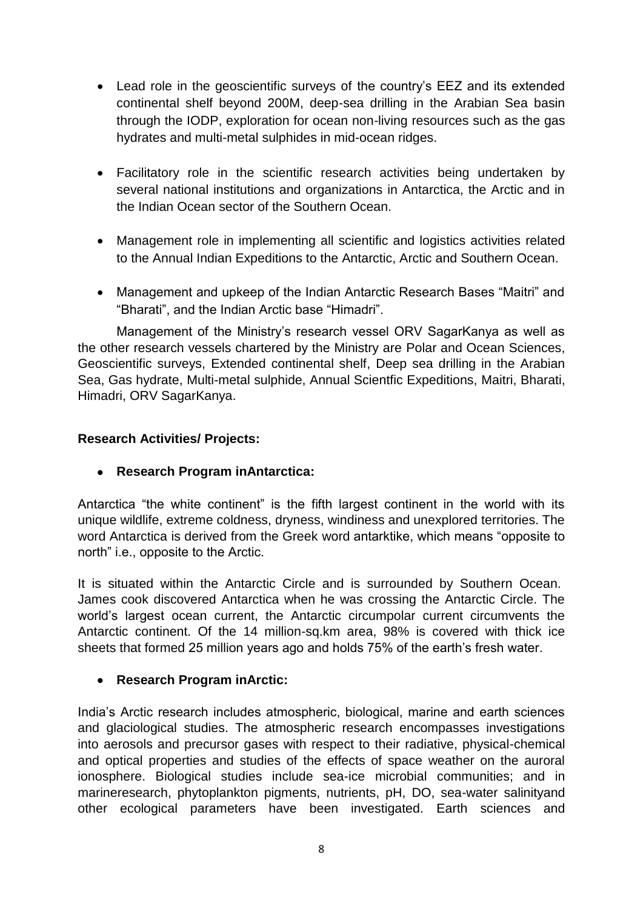- Lead role in the geoscientific surveys of the country"s EEZ and its extended continental shelf beyond 200M, deep-sea drilling in the Arabian Sea basin through the IODP, exploration for ocean non-living resources such as the gas hydrates and multi-metal sulphides in mid-ocean ridges.
- Facilitatory role in the scientific research activities being undertaken by several national institutions and organizations in Antarctica, the Arctic and in the Indian Ocean sector of the Southern Ocean.
- Management role in implementing all scientific and logistics activities related to the Annual Indian Expeditions to the Antarctic, Arctic and Southern Ocean.
- Management and upkeep of the Indian Antarctic Research Bases "Maitri" and "Bharati", and the Indian Arctic base "Himadri".

Management of the Ministry"s research vessel ORV SagarKanya as well as the other research vessels chartered by the Ministry are [Polar and Ocean Sciences,](http://www.ncaor.gov.in/pages/view/260/189-polar-science-cryosphere) [Geoscientific surveys,](http://www.ncaor.gov.in/pages/view/260/190-geosciences) [Extended continental shelf,](http://www.ncaor.gov.in/pages/view/260/250-delineation-of-the-outer-limits-of-the-continental-shelf) [Deep sea drilling in the Arabian](http://www.ncaor.gov.in/iodps)  [Sea,](http://www.ncaor.gov.in/iodps) [Gas hydrate,](http://www.ncaor.gov.in/pages/view/260/254-gas-hydrate) Multi-metal sulphide, Annual Scientfic Expeditions, [Maitri,](http://www.ncaor.gov.in/pages/view/260/256-maitri) [Bharati,](http://www.ncaor.gov.in/pages/view/260/257-bharti) [Himadri,](http://www.ncaor.gov.in/pages/view/260/120-about-arctic) [ORV SagarKanya.](http://www.ncaor.gov.in/pages/view/260/167-orv-sagar-kanya)

# **Research Activities/ Projects:**

**Research Program inAntarctica:** 

Antarctica "the white continent" is the fifth largest continent in the world with its unique wildlife, extreme coldness, dryness, windiness and unexplored territories. The word Antarctica is derived from the Greek word antarktike, which means "opposite to north" i.e., opposite to the Arctic.

It is situated within the Antarctic Circle and is surrounded by Southern Ocean. James cook discovered Antarctica when he was crossing the Antarctic Circle. The world"s largest ocean current, the Antarctic circumpolar current circumvents the Antarctic continent. Of the 14 million-sq.km area, 98% is covered with thick ice sheets that formed 25 million years ago and holds 75% of the earth"s fresh water.

# **Research Program inArctic:**

India"s Arctic research includes atmospheric, biological, marine and earth sciences and glaciological studies. The atmospheric research encompasses investigations into aerosols and precursor gases with respect to their radiative, physical-chemical and optical properties and studies of the effects of space weather on the auroral ionosphere. Biological studies include sea-ice microbial communities; and in marineresearch, phytoplankton pigments, nutrients, pH, DO, sea-water salinityand other ecological parameters have been investigated. Earth sciences and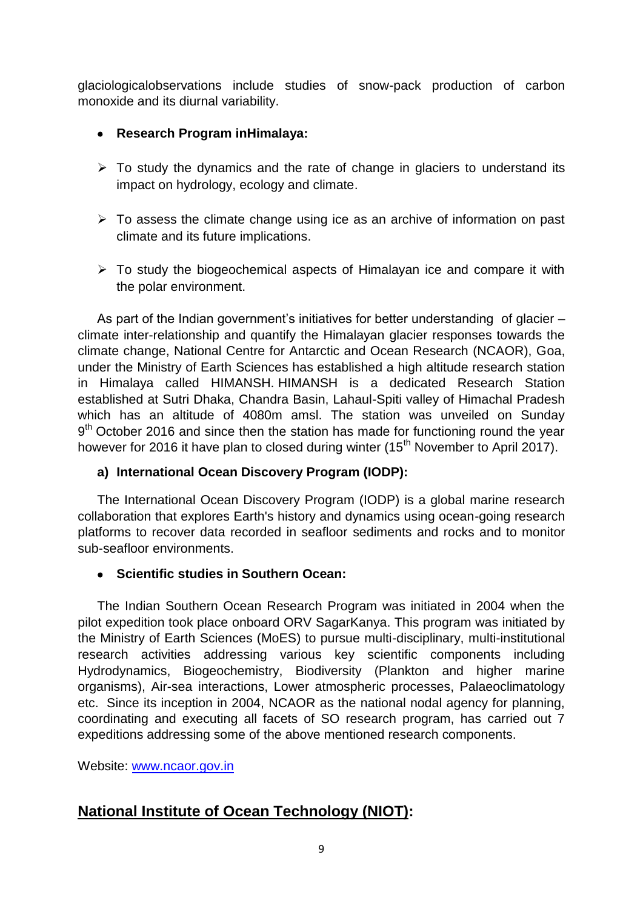glaciologicalobservations include studies of snow-pack production of carbon monoxide and its diurnal variability.

# **Research Program inHimalaya:**

- $\triangleright$  To study the dynamics and the rate of change in glaciers to understand its impact on hydrology, ecology and climate.
- $\triangleright$  To assess the climate change using ice as an archive of information on past climate and its future implications.
- $\triangleright$  To study the biogeochemical aspects of Himalayan ice and compare it with the polar environment.

As part of the Indian government's initiatives for better understanding of glacier – climate inter-relationship and quantify the Himalayan glacier responses towards the climate change, National Centre for Antarctic and Ocean Research (NCAOR), Goa, under the Ministry of Earth Sciences has established a high altitude research station in Himalaya called HIMANSH. HIMANSH is a dedicated Research Station established at Sutri Dhaka, Chandra Basin, Lahaul-Spiti valley of Himachal Pradesh which has an altitude of 4080m amsl. The station was unveiled on Sunday 9<sup>th</sup> October 2016 and since then the station has made for functioning round the year however for 2016 it have plan to closed during winter (15<sup>th</sup> November to April 2017).

# **a) International Ocean Discovery Program (IODP):**

The International Ocean Discovery Program (IODP) is a global marine research collaboration that explores Earth's history and dynamics using ocean-going research platforms to recover data recorded in seafloor sediments and rocks and to monitor sub-seafloor environments.

# **Scientific studies in Southern Ocean:**

The Indian Southern Ocean Research Program was initiated in 2004 when the pilot expedition took place onboard ORV SagarKanya. This program was initiated by the Ministry of Earth Sciences (MoES) to pursue multi-disciplinary, multi-institutional research activities addressing various key scientific components including Hydrodynamics, Biogeochemistry, Biodiversity (Plankton and higher marine organisms), Air-sea interactions, Lower atmospheric processes, Palaeoclimatology etc. Since its inception in 2004, NCAOR as the national nodal agency for planning, coordinating and executing all facets of SO research program, has carried out 7 expeditions addressing some of the above mentioned research components.

Website: [www.ncaor.gov.in](http://www.ncaor.gov.in/)

# **National Institute of Ocean Technology (NIOT):**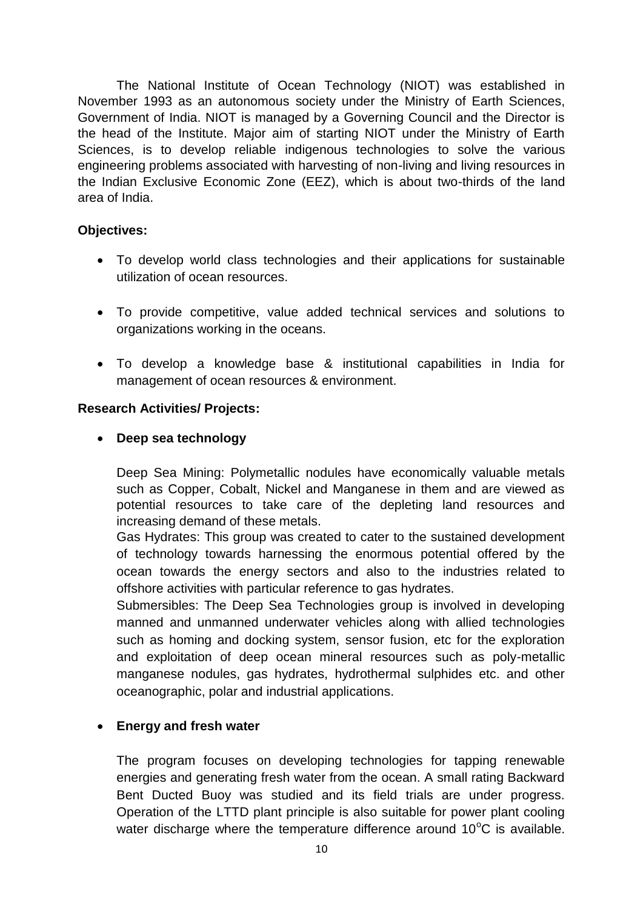The National Institute of Ocean Technology (NIOT) was established in November 1993 as an autonomous society under the Ministry of Earth Sciences, Government of India. NIOT is managed by a Governing Council and the Director is the head of the Institute. Major aim of starting NIOT under the Ministry of Earth Sciences, is to develop reliable indigenous technologies to solve the various engineering problems associated with harvesting of non-living and living resources in the Indian Exclusive Economic Zone (EEZ), which is about two-thirds of the land area of India.

### **Objectives:**

- To develop world class technologies and their applications for sustainable utilization of ocean resources.
- To provide competitive, value added technical services and solutions to organizations working in the oceans.
- To develop a knowledge base & institutional capabilities in India for management of ocean resources & environment.

#### **Research Activities/ Projects:**

#### **Deep sea technology**

Deep Sea Mining: Polymetallic nodules have economically valuable metals such as Copper, Cobalt, Nickel and Manganese in them and are viewed as potential resources to take care of the depleting land resources and increasing demand of these metals.

Gas Hydrates: This group was created to cater to the sustained development of technology towards harnessing the enormous potential offered by the ocean towards the energy sectors and also to the industries related to offshore activities with particular reference to gas hydrates.

Submersibles: The Deep Sea Technologies group is involved in developing manned and unmanned underwater vehicles along with allied technologies such as homing and docking system, sensor fusion, etc for the exploration and exploitation of deep ocean mineral resources such as poly-metallic manganese nodules, gas hydrates, hydrothermal sulphides etc. and other oceanographic, polar and industrial applications.

#### **Energy and fresh water**

The program focuses on developing technologies for tapping renewable energies and generating fresh water from the ocean. A small rating Backward Bent Ducted Buoy was studied and its field trials are under progress. Operation of the LTTD plant principle is also suitable for power plant cooling water discharge where the temperature difference around  $10^{\circ}$ C is available.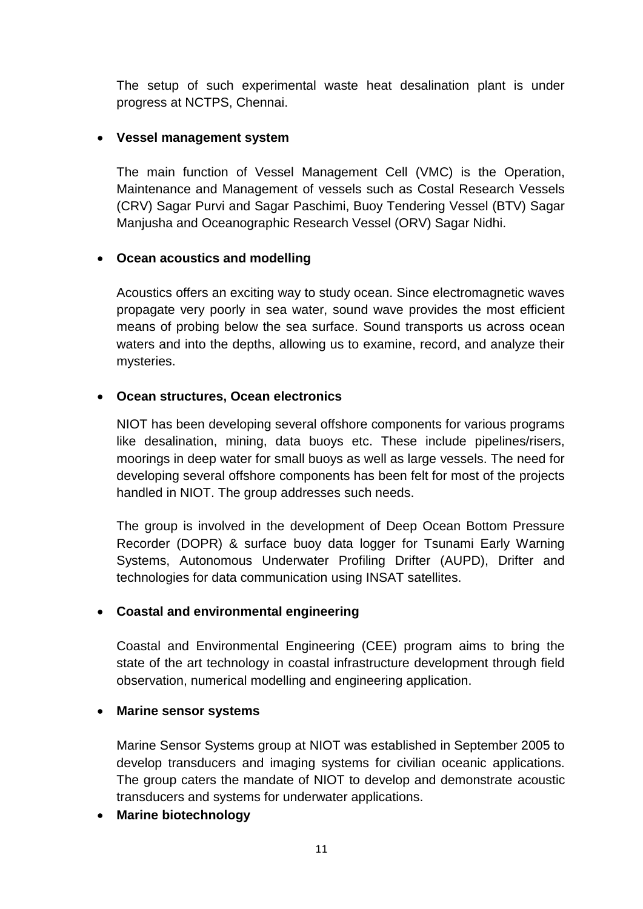The setup of such experimental waste heat desalination plant is under progress at NCTPS, Chennai.

#### **Vessel management system**

The main function of Vessel Management Cell (VMC) is the Operation, Maintenance and Management of vessels such as Costal Research Vessels (CRV) Sagar Purvi and Sagar Paschimi, Buoy Tendering Vessel (BTV) Sagar Manjusha and Oceanographic Research Vessel (ORV) Sagar Nidhi.

#### **Ocean acoustics and modelling**

Acoustics offers an exciting way to study ocean. Since electromagnetic waves propagate very poorly in sea water, sound wave provides the most efficient means of probing below the sea surface. Sound transports us across ocean waters and into the depths, allowing us to examine, record, and analyze their mysteries.

#### **Ocean structures, Ocean electronics**

NIOT has been developing several offshore components for various programs like desalination, mining, data buoys etc. These include pipelines/risers, moorings in deep water for small buoys as well as large vessels. The need for developing several offshore components has been felt for most of the projects handled in NIOT. The group addresses such needs.

The group is involved in the development of Deep Ocean Bottom Pressure Recorder (DOPR) & surface buoy data logger for Tsunami Early Warning Systems, Autonomous Underwater Profiling Drifter (AUPD), Drifter and technologies for data communication using INSAT satellites.

# **Coastal and environmental engineering**

Coastal and Environmental Engineering (CEE) program aims to bring the state of the art technology in coastal infrastructure development through field observation, numerical modelling and engineering application.

#### **Marine sensor systems**

Marine Sensor Systems group at NIOT was established in September 2005 to develop transducers and imaging systems for civilian oceanic applications. The group caters the mandate of NIOT to develop and demonstrate acoustic transducers and systems for underwater applications.

#### **Marine biotechnology**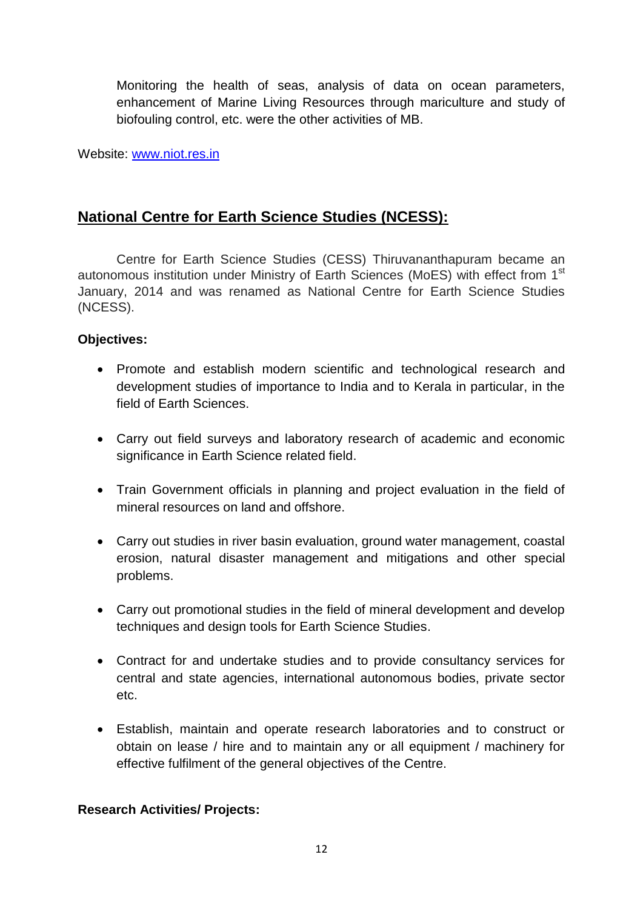Monitoring the health of seas, analysis of data on ocean parameters, enhancement of Marine Living Resources through mariculture and study of biofouling control, etc. were the other activities of MB.

Website: [www.niot.res.in](http://www.niot.res.in/)

# **National Centre for Earth Science Studies (NCESS):**

Centre for Earth Science Studies (CESS) Thiruvananthapuram became an autonomous institution under Ministry of Earth Sciences (MoES) with effect from 1<sup>st</sup> January, 2014 and was renamed as National Centre for Earth Science Studies (NCESS).

# **Objectives:**

- Promote and establish modern scientific and technological research and development studies of importance to India and to Kerala in particular, in the field of Earth Sciences.
- Carry out field surveys and laboratory research of academic and economic significance in Earth Science related field.
- Train Government officials in planning and project evaluation in the field of mineral resources on land and offshore.
- Carry out studies in river basin evaluation, ground water management, coastal erosion, natural disaster management and mitigations and other special problems.
- Carry out promotional studies in the field of mineral development and develop techniques and design tools for Earth Science Studies.
- Contract for and undertake studies and to provide consultancy services for central and state agencies, international autonomous bodies, private sector etc.
- Establish, maintain and operate research laboratories and to construct or obtain on lease / hire and to maintain any or all equipment / machinery for effective fulfilment of the general objectives of the Centre.

#### **Research Activities/ Projects:**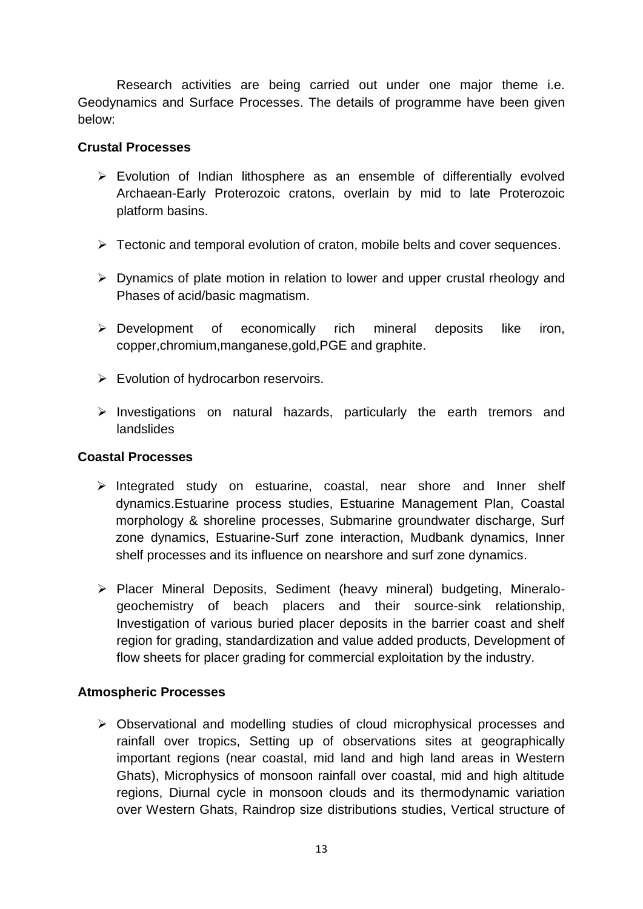Research activities are being carried out under one major theme i.e. Geodynamics and Surface Processes. The details of programme have been given below:

#### **Crustal Processes**

- Evolution of Indian lithosphere as an ensemble of differentially evolved Archaean-Early Proterozoic cratons, overlain by mid to late Proterozoic platform basins.
- $\triangleright$  Tectonic and temporal evolution of craton, mobile belts and cover sequences.
- $\triangleright$  Dynamics of plate motion in relation to lower and upper crustal rheology and Phases of acid/basic magmatism.
- $\triangleright$  Development of economically rich mineral deposits like iron, copper,chromium,manganese,gold,PGE and graphite.
- $\triangleright$  Evolution of hydrocarbon reservoirs.
- $\triangleright$  Investigations on natural hazards, particularly the earth tremors and landslides

#### **Coastal Processes**

- $\triangleright$  Integrated study on estuarine, coastal, near shore and Inner shelf dynamics.Estuarine process studies, Estuarine Management Plan, Coastal morphology & shoreline processes, Submarine groundwater discharge, Surf zone dynamics, Estuarine-Surf zone interaction, Mudbank dynamics, Inner shelf processes and its influence on nearshore and surf zone dynamics.
- Placer Mineral Deposits, Sediment (heavy mineral) budgeting, Mineralogeochemistry of beach placers and their source-sink relationship, Investigation of various buried placer deposits in the barrier coast and shelf region for grading, standardization and value added products, Development of flow sheets for placer grading for commercial exploitation by the industry.

# **Atmospheric Processes**

 Observational and modelling studies of cloud microphysical processes and rainfall over tropics, Setting up of observations sites at geographically important regions (near coastal, mid land and high land areas in Western Ghats), Microphysics of monsoon rainfall over coastal, mid and high altitude regions, Diurnal cycle in monsoon clouds and its thermodynamic variation over Western Ghats, Raindrop size distributions studies, Vertical structure of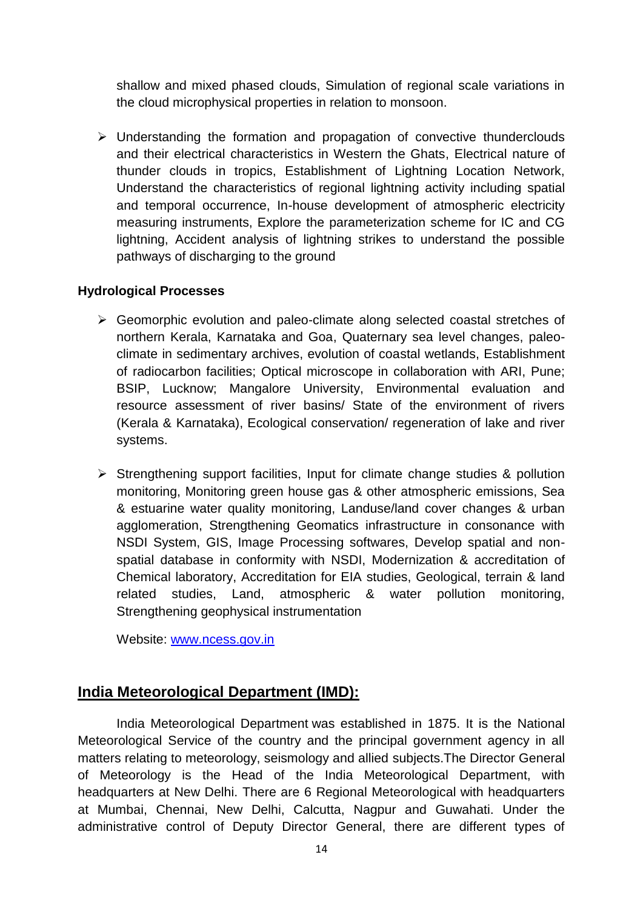shallow and mixed phased clouds, Simulation of regional scale variations in the cloud microphysical properties in relation to monsoon.

 $\triangleright$  Understanding the formation and propagation of convective thunderclouds and their electrical characteristics in Western the Ghats, Electrical nature of thunder clouds in tropics, Establishment of Lightning Location Network, Understand the characteristics of regional lightning activity including spatial and temporal occurrence, In-house development of atmospheric electricity measuring instruments, Explore the parameterization scheme for IC and CG lightning, Accident analysis of lightning strikes to understand the possible pathways of discharging to the ground

#### **Hydrological Processes**

- Geomorphic evolution and paleo-climate along selected coastal stretches of northern Kerala, Karnataka and Goa, Quaternary sea level changes, paleoclimate in sedimentary archives, evolution of coastal wetlands, Establishment of radiocarbon facilities; Optical microscope in collaboration with ARI, Pune; BSIP, Lucknow; Mangalore University, Environmental evaluation and resource assessment of river basins/ State of the environment of rivers (Kerala & Karnataka), Ecological conservation/ regeneration of lake and river systems.
- $\triangleright$  Strengthening support facilities, Input for climate change studies & pollution monitoring, Monitoring green house gas & other atmospheric emissions, Sea & estuarine water quality monitoring, Landuse/land cover changes & urban agglomeration, Strengthening Geomatics infrastructure in consonance with NSDI System, GIS, Image Processing softwares, Develop spatial and nonspatial database in conformity with NSDI, Modernization & accreditation of Chemical laboratory, Accreditation for EIA studies, Geological, terrain & land related studies, Land, atmospheric & water pollution monitoring, Strengthening geophysical instrumentation

Website: [www.ncess.gov.in](http://www.ncess.gov.in/)

# **India Meteorological Department (IMD):**

India Meteorological Department was established in 1875. It is the National Meteorological Service of the country and the principal government agency in all matters relating to meteorology, seismology and allied subjects.The Director General of Meteorology is the Head of the India Meteorological Department, with headquarters at New Delhi. There are 6 Regional Meteorological with headquarters at Mumbai, Chennai, New Delhi, Calcutta, Nagpur and Guwahati. Under the administrative control of Deputy Director General, there are different types of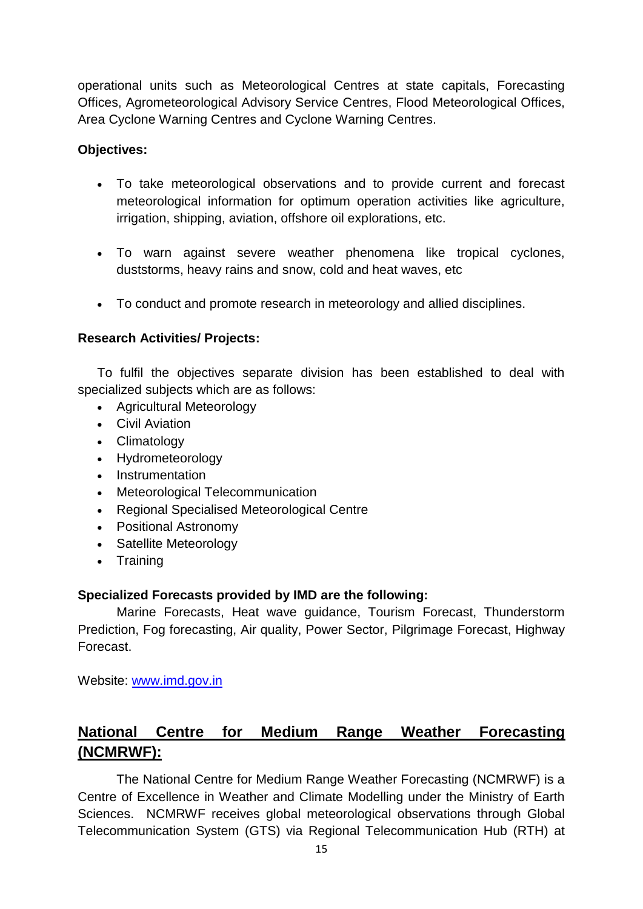operational units such as Meteorological Centres at state capitals, Forecasting Offices, Agrometeorological Advisory Service Centres, Flood Meteorological Offices, Area Cyclone Warning Centres and Cyclone Warning Centres.

### **Objectives:**

- To take meteorological observations and to provide current and forecast meteorological information for optimum operation activities like agriculture, irrigation, shipping, aviation, offshore oil explorations, etc.
- To warn against severe weather phenomena like tropical cyclones, duststorms, heavy rains and snow, cold and heat waves, etc
- To conduct and promote research in meteorology and allied disciplines.

# **Research Activities/ Projects:**

To fulfil the objectives separate division has been established to deal with specialized subjects which are as follows:

- Agricultural Meteorology
- Civil Aviation
- Climatology
- Hydrometeorology
- Instrumentation
- Meteorological Telecommunication
- Regional Specialised Meteorological Centre
- Positional Astronomy
- Satellite Meteorology
- Training

# **Specialized Forecasts provided by IMD are the following:**

Marine Forecasts, Heat wave guidance, Tourism Forecast, Thunderstorm Prediction, Fog forecasting, Air quality, Power Sector, Pilgrimage Forecast, Highway Forecast.

Website: [www.imd.gov.in](http://www.imd.gov.in/)

# **National Centre for Medium Range Weather Forecasting (NCMRWF):**

The National Centre for Medium Range Weather Forecasting (NCMRWF) is a Centre of Excellence in Weather and Climate Modelling under the Ministry of Earth Sciences. NCMRWF receives global meteorological observations through Global Telecommunication System (GTS) via Regional Telecommunication Hub (RTH) at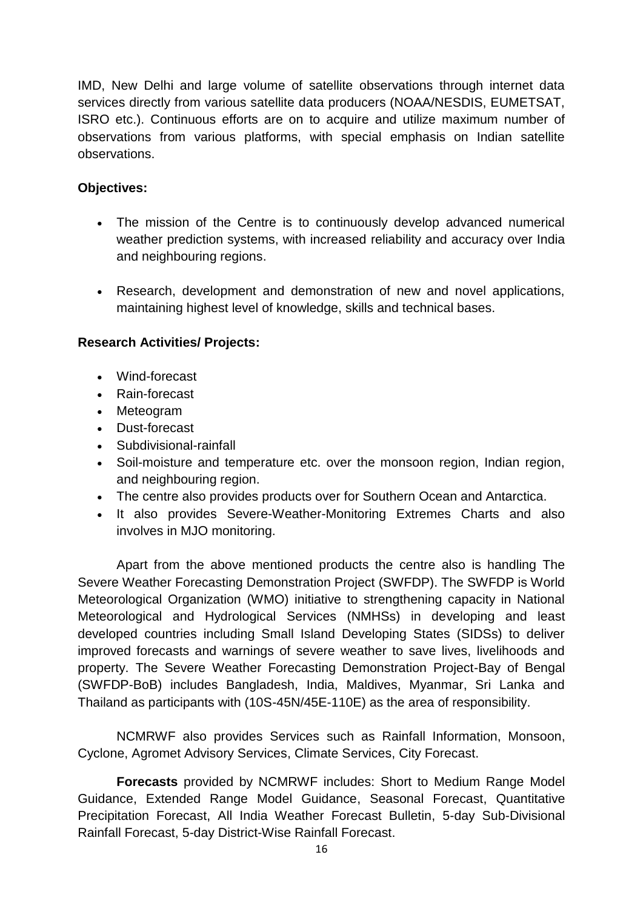IMD, New Delhi and large volume of satellite observations through internet data services directly from various satellite data producers (NOAA/NESDIS, EUMETSAT, ISRO etc.). Continuous efforts are on to acquire and utilize maximum number of observations from various platforms, with special emphasis on Indian satellite observations.

# **Objectives:**

- The mission of the Centre is to continuously develop advanced numerical weather prediction systems, with increased reliability and accuracy over India and neighbouring regions.
- Research, development and demonstration of new and novel applications, maintaining highest level of knowledge, skills and technical bases.

# **Research Activities/ Projects:**

- Wind-forecast
- Rain-forecast
- Meteogram
- Dust-forecast
- Subdivisional-rainfall
- Soil-moisture and temperature etc. over the monsoon region, Indian region, and neighbouring region.
- The centre also provides products over for Southern Ocean and Antarctica.
- It also provides Severe-Weather-Monitoring Extremes Charts and also involves in MJO monitoring.

Apart from the above mentioned products the centre also is handling The Severe Weather Forecasting Demonstration Project (SWFDP). The SWFDP is World Meteorological Organization (WMO) initiative to strengthening capacity in National Meteorological and Hydrological Services (NMHSs) in developing and least developed countries including Small Island Developing States (SIDSs) to deliver improved forecasts and warnings of severe weather to save lives, livelihoods and property. The Severe Weather Forecasting Demonstration Project-Bay of Bengal (SWFDP-BoB) includes Bangladesh, India, Maldives, Myanmar, Sri Lanka and Thailand as participants with (10S-45N/45E-110E) as the area of responsibility.

NCMRWF also provides Services such as [Rainfall Information,](https://mausam.imd.gov.in/imd_latest/contents/rainfallinformation.php) [Monsoon,](https://mausam.imd.gov.in/imd_latest/contents/monsoon.php) [Cyclone,](https://mausam.imd.gov.in/imd_latest/contents/cyclone.php) [Agromet Advisory Services,](https://mausam.imd.gov.in/imd_latest/contents/agromet/advisory/englishstate_current.php) [Climate Services,](https://mausam.imd.gov.in/imd_latest/contents/climate_services_daily_rainfall_maps.php) [City Forecast.](http://internal.imd.gov.in/pages/city_weather_main_mausam.php)

**Forecasts** provided by NCMRWF includes: [Short to Medium Range Model](http://nwp.imd.gov.in/gfsfront_cycle00_mausam.php)  [Guidance,](http://nwp.imd.gov.in/gfsfront_cycle00_mausam.php) [Extended Range Model Guidance,](https://mausam.imd.gov.in/imd_latest/contents/extendedrangeforecast.php) [Seasonal Forecast,](https://mausam.imd.gov.in/imd_latest/contents/seasonal_forecast.php) [Quantitative](https://mausam.imd.gov.in/imd_latest/contents/index_qpf.php)  [Precipitation Forecast,](https://mausam.imd.gov.in/imd_latest/contents/index_qpf.php) [All India Weather Forecast Bulletin,](https://mausam.imd.gov.in/imd_latest/contents/all_india_forcast_bulletin.php) [5-day Sub-Divisional](https://mausam.imd.gov.in/imd_latest/contents/index_category.php)  [Rainfall Forecast,](https://mausam.imd.gov.in/imd_latest/contents/index_category.php) [5-day District-Wise Rainfall Forecast.](https://mausam.imd.gov.in/imd_latest/contents/statewisedistricts_rain.php)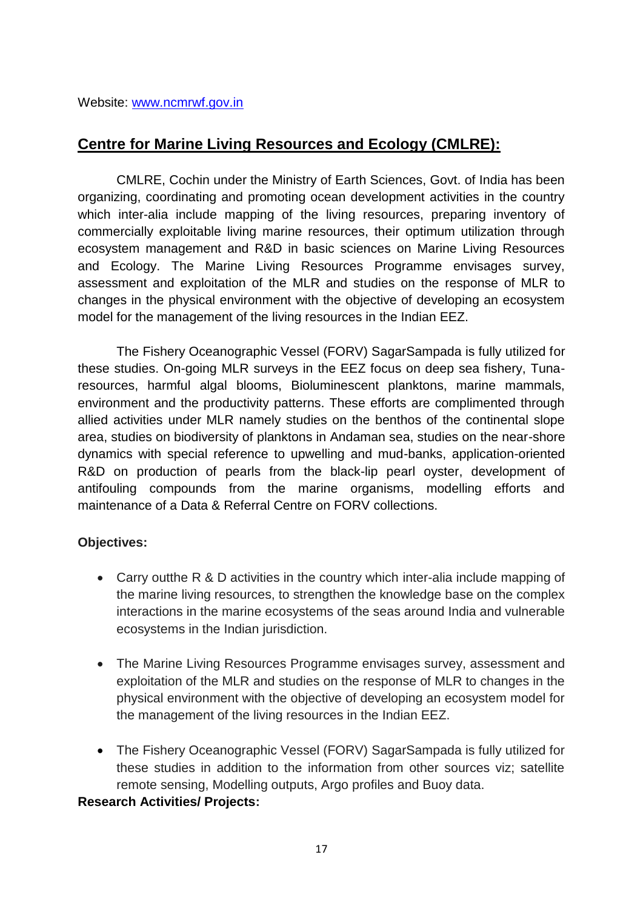Website: [www.ncmrwf.gov.in](http://www.ncmrwf.gov.in/)

# **Centre for Marine Living Resources and Ecology (CMLRE):**

CMLRE, Cochin under the Ministry of Earth Sciences, Govt. of India has been organizing, coordinating and promoting ocean development activities in the country which inter-alia include mapping of the living resources, preparing inventory of commercially exploitable living marine resources, their optimum utilization through ecosystem management and R&D in basic sciences on Marine Living Resources and Ecology. The Marine Living Resources Programme envisages survey, assessment and exploitation of the MLR and studies on the response of MLR to changes in the physical environment with the objective of developing an ecosystem model for the management of the living resources in the Indian EEZ.

The Fishery Oceanographic Vessel (FORV) SagarSampada is fully utilized for these studies. On-going MLR surveys in the EEZ focus on deep sea fishery, Tunaresources, harmful algal blooms, Bioluminescent planktons, marine mammals, environment and the productivity patterns. These efforts are complimented through allied activities under MLR namely studies on the benthos of the continental slope area, studies on biodiversity of planktons in Andaman sea, studies on the near-shore dynamics with special reference to upwelling and mud-banks, application-oriented R&D on production of pearls from the black-lip pearl oyster, development of antifouling compounds from the marine organisms, modelling efforts and maintenance of a Data & Referral Centre on FORV collections.

# **Objectives:**

- Carry outthe R & D activities in the country which inter-alia include mapping of the marine living resources, to strengthen the knowledge base on the complex interactions in the marine ecosystems of the seas around India and vulnerable ecosystems in the Indian jurisdiction.
- The Marine Living Resources Programme envisages survey, assessment and exploitation of the MLR and studies on the response of MLR to changes in the physical environment with the objective of developing an ecosystem model for the management of the living resources in the Indian EEZ.
- The Fishery Oceanographic Vessel (FORV) SagarSampada is fully utilized for these studies in addition to the information from other sources viz; satellite remote sensing, Modelling outputs, Argo profiles and Buoy data.

#### **Research Activities/ Projects:**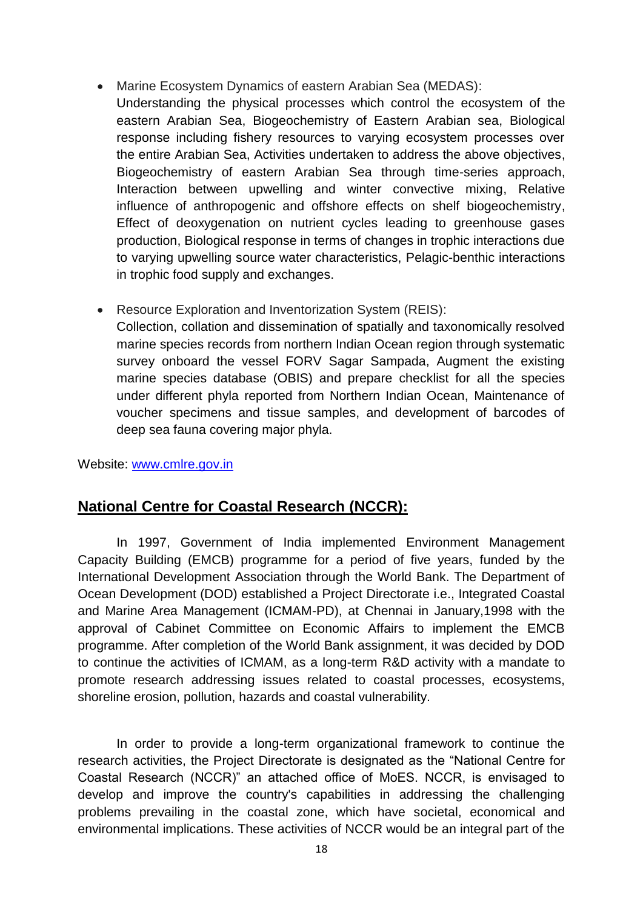- [Marine Ecosystem Dynamics of eastern Arabian Sea \(MEDAS\):](https://www.cmlre.gov.in/research-program/ongoing-research-program/marine-ecosystem-dynamics-eastern-arabian-sea-medas) Understanding the physical processes which control the ecosystem of the eastern Arabian Sea, Biogeochemistry of Eastern Arabian sea, Biological response including fishery resources to varying ecosystem processes over the entire Arabian Sea, Activities undertaken to address the above objectives, Biogeochemistry of eastern Arabian Sea through time-series approach, Interaction between upwelling and winter convective mixing, Relative influence of anthropogenic and offshore effects on shelf biogeochemistry, Effect of deoxygenation on nutrient cycles leading to greenhouse gases production, Biological response in terms of changes in trophic interactions due to varying upwelling source water characteristics, Pelagic-benthic interactions in trophic food supply and exchanges.
- [Resource Exploration and Inventorization System \(REIS\):](https://www.cmlre.gov.in/research-program/ongoing-research-program/resource-exploration-and-inventorization-system-reis) Collection, collation and dissemination of spatially and taxonomically resolved marine species records from northern Indian Ocean region through systematic survey onboard the vessel FORV Sagar Sampada, Augment the existing marine species database (OBIS) and prepare checklist for all the species under different phyla reported from Northern Indian Ocean, Maintenance of voucher specimens and tissue samples, and development of barcodes of deep sea fauna covering major phyla.

Website: [www.cmlre.gov.in](http://www.cmlre.gov.in/)

# **National Centre for Coastal Research (NCCR):**

In 1997, Government of India implemented Environment Management Capacity Building (EMCB) programme for a period of five years, funded by the International Development Association through the World Bank. The Department of Ocean Development (DOD) established a Project Directorate i.e., Integrated Coastal and Marine Area Management (ICMAM-PD), at Chennai in January,1998 with the approval of Cabinet Committee on Economic Affairs to implement the EMCB programme. After completion of the World Bank assignment, it was decided by DOD to continue the activities of ICMAM, as a long-term R&D activity with a mandate to promote research addressing issues related to coastal processes, ecosystems, shoreline erosion, pollution, hazards and coastal vulnerability.

In order to provide a long-term organizational framework to continue the research activities, the Project Directorate is designated as the "National Centre for Coastal Research (NCCR)" an attached office of MoES. NCCR, is envisaged to develop and improve the country's capabilities in addressing the challenging problems prevailing in the coastal zone, which have societal, economical and environmental implications. These activities of NCCR would be an integral part of the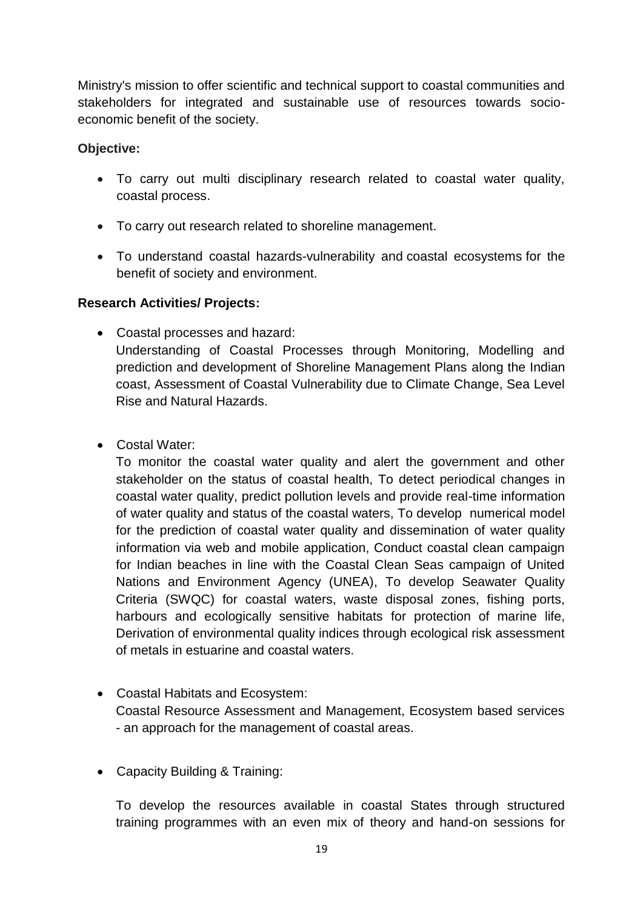Ministry's mission to offer scientific and technical support to coastal communities and stakeholders for integrated and sustainable use of resources towards socioeconomic benefit of the society.

# **Objective:**

- To carry out multi disciplinary research related to coastal water quality, coastal process.
- To carry out research related to shoreline management.
- To understand coastal hazards-vulnerability and coastal ecosystems for the benefit of society and environment.

# **Research Activities/ Projects:**

- Coastal processes and hazard: Understanding of Coastal Processes through Monitoring, Modelling and prediction and development of Shoreline Management Plans along the Indian coast, Assessment of Coastal Vulnerability due to Climate Change, Sea Level Rise and Natural Hazards.
- Costal Water:

To monitor the coastal water quality and alert the government and other stakeholder on the status of coastal health, To detect periodical changes in coastal water quality, predict pollution levels and provide real-time information of water quality and status of the coastal waters, To develop numerical model for the prediction of coastal water quality and dissemination of water quality information via web and mobile application, Conduct coastal clean campaign for Indian beaches in line with the Coastal Clean Seas campaign of United Nations and Environment Agency (UNEA), To develop Seawater Quality Criteria (SWQC) for coastal waters, waste disposal zones, fishing ports, harbours and ecologically sensitive habitats for protection of marine life, Derivation of environmental quality indices through ecological risk assessment of metals in estuarine and coastal waters.

- Coastal Habitats and Ecosystem: Coastal Resource Assessment and Management, Ecosystem based services - an approach for the management of coastal areas.
- Capacity Building & Training:

To develop the resources available in coastal States through structured training programmes with an even mix of theory and hand-on sessions for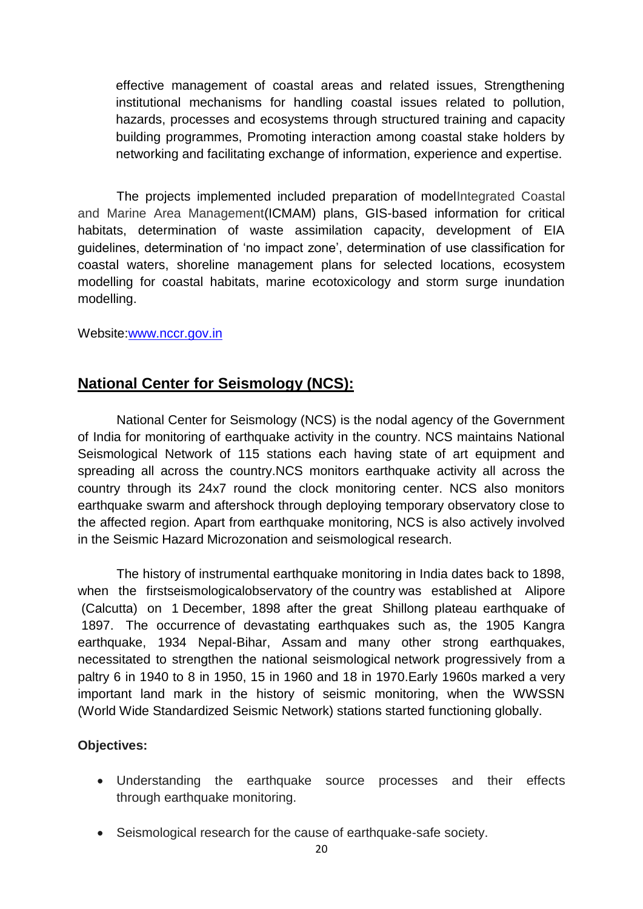effective management of coastal areas and related issues, Strengthening institutional mechanisms for handling coastal issues related to pollution, hazards, processes and ecosystems through structured training and capacity building programmes, Promoting interaction among coastal stake holders by networking and facilitating exchange of information, experience and expertise.

The projects implemented included preparation of modelIntegrated Coastal and Marine Area Management(ICMAM) plans, GIS-based information for critical habitats, determination of waste assimilation capacity, development of EIA guidelines, determination of "no impact zone", determination of use classification for coastal waters, shoreline management plans for selected locations, ecosystem modelling for coastal habitats, marine ecotoxicology and storm surge inundation modelling.

Website[:www.nccr.gov.in](http://www.nccr.gov.in/)

# **National Center for Seismology (NCS):**

National Center for Seismology (NCS) is the nodal agency of the Government of India for monitoring of earthquake activity in the country. NCS maintains National Seismological Network of 115 stations each having state of art equipment and spreading all across the country.NCS monitors earthquake activity all across the country through its 24x7 round the clock monitoring center. NCS also monitors earthquake swarm and aftershock through deploying temporary observatory close to the affected region. Apart from earthquake monitoring, NCS is also actively involved in the Seismic Hazard Microzonation and seismological research.

The history of instrumental earthquake monitoring in India dates back to 1898, when the firstseismologicalobservatory of the country was established at Alipore (Calcutta) on 1 December, 1898 after the great Shillong plateau earthquake of 1897. The occurrence of devastating earthquakes such as, the 1905 Kangra earthquake, 1934 Nepal-Bihar, Assam and many other strong earthquakes, necessitated to strengthen the national seismological network progressively from a paltry 6 in 1940 to 8 in 1950, 15 in 1960 and 18 in 1970.Early 1960s marked a very important land mark in the history of seismic monitoring, when the WWSSN (World Wide Standardized Seismic Network) stations started functioning globally.

# **Objectives:**

- Understanding the earthquake source processes and their effects through earthquake monitoring.
- Seismological research for the cause of earthquake-safe society.